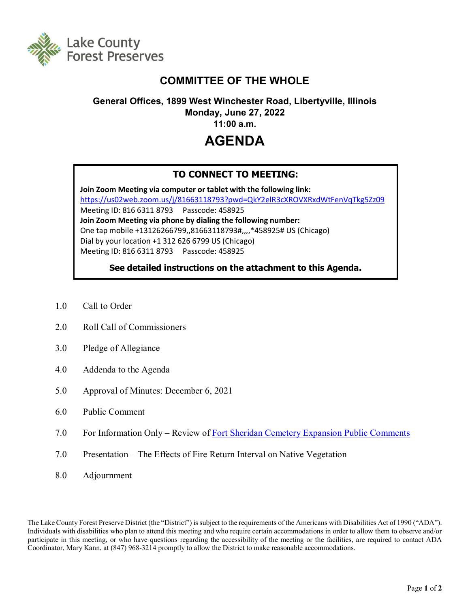

## **COMMITTEE OF THE WHOLE**

## **General Offices, 1899 West Winchester Road, Libertyville, Illinois Monday, June 27, 2022**

**11:00 a.m.**

# **AGENDA**

### **TO CONNECT TO MEETING:**

**Join Zoom Meeting via computer or tablet with the following link:** <https://us02web.zoom.us/j/81663118793?pwd=QkY2elR3cXROVXRxdWtFenVqTkg5Zz09> Meeting ID: 816 6311 8793 Passcode: 458925 **Join Zoom Meeting via phone by dialing the following number:** One tap mobile +13126266799,,81663118793#,,,,\*458925# US (Chicago) Dial by your location +1 312 626 6799 US (Chicago) Meeting ID: 816 6311 8793 Passcode: 458925

**See detailed instructions on the attachment to this Agenda.**

- 1.0 Call to Order
- 2.0 Roll Call of Commissioners
- 3.0 Pledge of Allegiance
- 4.0 Addenda to the Agenda
- 5.0 Approval of Minutes: December 6, 2021
- 6.0 Public Comment
- 7.0 For Information Only Review of [Fort Sheridan Cemetery Expansion Public Comments](http://www.lcfpd.org/assets/1/28/VA_request_at_Fort_Sheridan_-_Public_Comments_Summary.pdf)
- 7.0 Presentation The Effects of Fire Return Interval on Native Vegetation
- 8.0 Adjournment

The Lake County Forest Preserve District (the "District") is subject to the requirements of the Americans with Disabilities Act of 1990 ("ADA"). Individuals with disabilities who plan to attend this meeting and who require certain accommodations in order to allow them to observe and/or participate in this meeting, or who have questions regarding the accessibility of the meeting or the facilities, are required to contact ADA Coordinator, Mary Kann, at (847) 968-3214 promptly to allow the District to make reasonable accommodations.